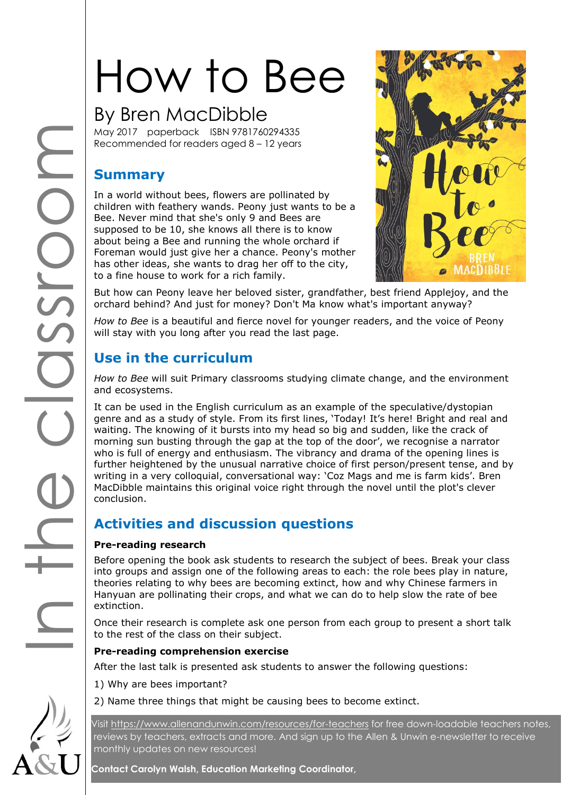# How to Bee

# By Bren MacDibble

May 2017 paperback ISBN 9781760294335 Recommended for readers aged 8 – 12 years

## **Summary**

SSICO<sub>O</sub>

In a world without bees, flowers are pollinated by children with feathery wands. Peony just wants to be a Bee. Never mind that she's only 9 and Bees are supposed to be 10, she knows all there is to know about being a Bee and running the whole orchard if Foreman would just give her a chance. Peony's mother has other ideas, she wants to drag her off to the city, to a fine house to work for a rich family.



But how can Peony leave her beloved sister, grandfather, best friend Applejoy, and the orchard behind? And just for money? Don't Ma know what's important anyway?

*How to Bee* is a beautiful and fierce novel for younger readers, and the voice of Peony will stay with you long after you read the last page.

# **Use in the curriculum**

*How to Bee* will suit Primary classrooms studying climate change, and the environment and ecosystems.

It can be used in the English curriculum as an example of the speculative/dystopian genre and as a study of style. From its first lines, 'Today! It's here! Bright and real and waiting. The knowing of it bursts into my head so big and sudden, like the crack of morning sun busting through the gap at the top of the door', we recognise a narrator who is full of energy and enthusiasm. The vibrancy and drama of the opening lines is further heightened by the unusual narrative choice of first person/present tense, and by writing in a very colloquial, conversational way: 'Coz Mags and me is farm kids'. Bren MacDibble maintains this original voice right through the novel until the plot's clever conclusion.

### **Activities and discussion questions**

#### **Pre-reading research**

Before opening the book ask students to research the subject of bees. Break your class into groups and assign one of the following areas to each: the role bees play in nature, theories relating to why bees are becoming extinct, how and why Chinese farmers in Hanyuan are pollinating their crops, and what we can do to help slow the rate of bee extinction.

Once their research is complete ask one person from each group to present a short talk to the rest of the class on their subject.

#### **Pre-reading comprehension exercise**

After the last talk is presented ask students to answer the following questions:

1) Why are bees important?

2) Name three things that might be causing bees to become extinct.

Visit<https://www.allenandunwin.com/resources/for-teachers> for free down-loadable teachers notes, reviews by teachers, extracts and more. And sign up to the Allen & Unwin e-newsletter to receive monthly updates on new resources!

**Contact Carolyn Walsh, Education Marketing Coordinator,**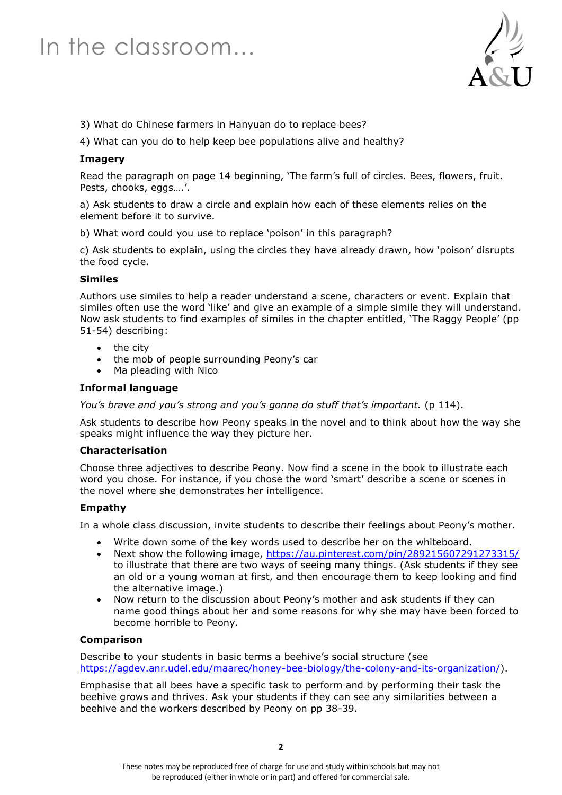# In the classroom…



3) What do Chinese farmers in Hanyuan do to replace bees?

4) What can you do to help keep bee populations alive and healthy?

#### **Imagery**

Read the paragraph on page 14 beginning, 'The farm's full of circles. Bees, flowers, fruit. Pests, chooks, eggs….'.

a) Ask students to draw a circle and explain how each of these elements relies on the element before it to survive.

b) What word could you use to replace 'poison' in this paragraph?

c) Ask students to explain, using the circles they have already drawn, how 'poison' disrupts the food cycle.

#### **Similes**

Authors use similes to help a reader understand a scene, characters or event. Explain that similes often use the word 'like' and give an example of a simple simile they will understand. Now ask students to find examples of similes in the chapter entitled, 'The Raggy People' (pp 51-54) describing:

- the city
- the mob of people surrounding Peony's car
- Ma pleading with Nico

#### **Informal language**

*You's brave and you's strong and you's gonna do stuff that's important.* (p 114).

Ask students to describe how Peony speaks in the novel and to think about how the way she speaks might influence the way they picture her.

#### **Characterisation**

Choose three adjectives to describe Peony. Now find a scene in the book to illustrate each word you chose. For instance, if you chose the word 'smart' describe a scene or scenes in the novel where she demonstrates her intelligence.

#### **Empathy**

In a whole class discussion, invite students to describe their feelings about Peony's mother.

- Write down some of the key words used to describe her on the whiteboard.
- Next show the following image,<https://au.pinterest.com/pin/289215607291273315/> to illustrate that there are two ways of seeing many things. (Ask students if they see an old or a young woman at first, and then encourage them to keep looking and find the alternative image.)
- Now return to the discussion about Peony's mother and ask students if they can name good things about her and some reasons for why she may have been forced to become horrible to Peony.

#### **Comparison**

Describe to your students in basic terms a beehive's social structure (see [https://agdev.anr.udel.edu/maarec/honey-bee-biology/the-colony-and-its-organization/\)](https://agdev.anr.udel.edu/maarec/honey-bee-biology/the-colony-and-its-organization/).

Emphasise that all bees have a specific task to perform and by performing their task the beehive grows and thrives. Ask your students if they can see any similarities between a beehive and the workers described by Peony on pp 38-39.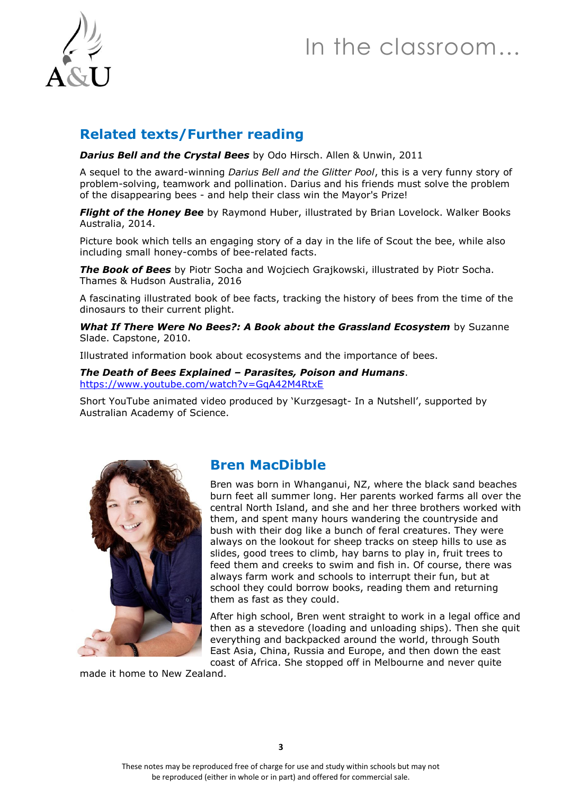# In the classroom…



### **Related texts/Further reading**

*Darius Bell and the Crystal Bees* by Odo Hirsch. Allen & Unwin, 2011

A sequel to the award-winning *Darius Bell and the Glitter Pool*, this is a very funny story of problem-solving, teamwork and pollination. Darius and his friends must solve the problem of the disappearing bees - and help their class win the Mayor's Prize!

*Flight of the Honey Bee* by Raymond Huber, illustrated by Brian Lovelock. Walker Books Australia, 2014.

Picture book which tells an engaging story of a day in the life of Scout the bee, while also including small honey-combs of bee-related facts.

*The Book of Bees* by Piotr Socha and Wojciech Grajkowski, illustrated by Piotr Socha. Thames & Hudson Australia, 2016

A fascinating illustrated book of bee facts, tracking the history of bees from the time of the dinosaurs to their current plight.

*What If There Were No Bees?: A Book about the Grassland Ecosystem* by Suzanne Slade. Capstone, 2010.

Illustrated information book about ecosystems and the importance of bees.

*The Death of Bees Explained – Parasites, Poison and Humans*. <https://www.youtube.com/watch?v=GqA42M4RtxE>

Short YouTube animated video produced by 'Kurzgesagt- In a Nutshell', supported by Australian Academy of Science.



### **Bren MacDibble**

Bren was born in Whanganui, NZ, where the black sand beaches burn feet all summer long. Her parents worked farms all over the central North Island, and she and her three brothers worked with them, and spent many hours wandering the countryside and bush with their dog like a bunch of feral creatures. They were always on the lookout for sheep tracks on steep hills to use as slides, good trees to climb, hay barns to play in, fruit trees to feed them and creeks to swim and fish in. Of course, there was always farm work and schools to interrupt their fun, but at school they could borrow books, reading them and returning them as fast as they could.

After high school, Bren went straight to work in a legal office and then as a stevedore (loading and unloading ships). Then she quit everything and backpacked around the world, through South East Asia, China, Russia and Europe, and then down the east coast of Africa. She stopped off in Melbourne and never quite

made it home to New Zealand.